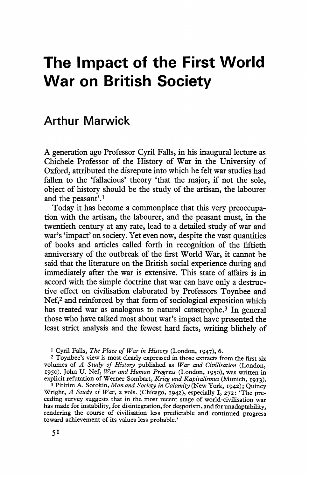# **The Impact of the First World War on British Society**

# **Arthur Marwick**

**A generation ago Professor Cyril Falls, in his inaugural lecture as Chichele Professor of the History of War in the University of Oxford, attributed the disrepute into which he felt war studies had fallen to the 'fallacious' theory 'that the major, if not the sole, object of history should be the study of the artisan, the labourer and the peasant'.1** 

**Today it has become a commonplace that this very preoccupation with the artisan, the labourer, and the peasant must, in the twentieth century at any rate, lead to a detailed study of war and war's 'impact' on society. Yet even now, despite the vast quantities of books and articles called forth in recognition of the fiftieth anniversary of the outbreak of the first World War, it cannot be said that the literature on the British social experience during and immediately after the war is extensive. This state of affairs is in accord with the simple doctrine that war can have only a destructive effect on civilisation elaborated by Professors Toynbee and Nef,2 and reinforced by that form of sociological exposition which has treated war as analogous to natural catastrophe.3 In general those who have talked most about war's impact have presented the least strict analysis and the fewest hard facts, writing blithely of** 

**1 Cyril Falls, The Place of War in History (London, 1947), 6.** 

**2 Toynbee's view is most clearly expressed in those extracts from the first six volumes of A Study of History published as War and Civilisation (London, 1950). John U. Nef, War and Human Progress (London, I950), was written in explicit refutation of Werner Sombart, Krieg und Kapitalismus (Munich, I9I3).** 

**<sup>3</sup>Pitirim A. Sorokin, Man and Society in Calamity (New York, 1942); Quincy Wright, A Study of War, 2 vols. (Chicago, I942), especially I, 272: 'The preceding survey suggests that in the most recent stage of world-civilisation war has made for instability, for disintegration, for despotism, and for unadaptability, rendering the course of civilisation less predictable and continued progress toward achievement of its values less probable.'**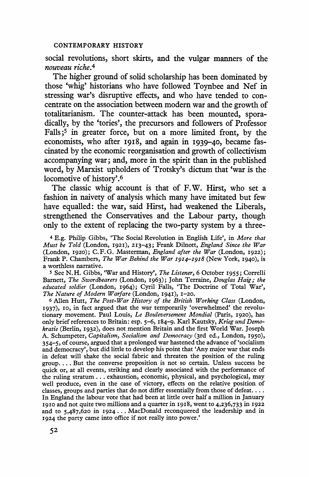**social revolutions, short skirts, and the vulgar manners of the nouveau riche.4** 

**The higher ground of solid scholarship has been dominated by those 'whig' historians who have followed Toynbee and Nef in stressing war's disruptive effects, and who have tended to concentrate on the association between modern war and the growth of totalitarianism. The counter-attack has been mounted, sporadically, by the 'tories', the precursors and followers of Professor Falls;5 in greater force, but on a more limited front, by the economists, who after 1918, and again in I939-40, became fascinated by the economic reorganisation and growth of collectivism accompanying war; and, more in the spirit than in the published word, by Marxist upholders of Trotsky's dictum that 'war is the locomotive of history'.6** 

**The classic whig account is that of F.W. Hirst, who set a fashion in naivety of analysis which many have imitated but few have equalled: the war, said Hirst, had weakened the Liberals, strengthened the Conservatives and the Labour party, though only to the extent of replacing the two-party system by a three-**

**4 E.g. Philip Gibbs, 'The Social Revolution in English Life', in More that Must be Told (London, 1921), 213-43; Frank Dilnott, England Since the War (London, 1920); C.F.G. Masterman, England after the War (London, I922); Frank P. Chambers, The War Behind the War 1914-1918 (New York, 1940), is a worthless narrative.** 

**5 See N.H. Gibbs, 'War and History', The Listener, 6 October I955; Correlli Barnett, The Swordbearers (London, I963); John Terraine, Douglas Haig; the educated soldier (London, 1964); Cyril Falls, 'The Doctrine of Total War', The Nature of Modern Warfare (London, I94I), I-20.** 

**6 Allen Hutt, The Post-War History of the British Working Class (London, I937), io, in fact argued that the war temporarily 'overwhelmed' the revolutionary movement. Paul Louis, Le Bouleversement Mondial (Paris, I920), has only brief references to Britain: esp. 5-6, I84-9. Karl Kautsky, Krieg und Demokratie (Berlin, 1932), does not mention Britain and the first World War. Joseph A. Schumpeter, Capitalism, Socialism and Democracy (3rd ed., London, 1950), 354-5, of course, argued that a prolonged war hastened the advance of 'socialism and democracy', but did little to develop his point that 'Any major war that ends in defeat will shake the social fabric and threaten the position of the ruling group.... But the converse proposition is not so certain. Unless success be quick or, at all events, striking and clearly associated with the performance of the ruling stratum... exhaustion, economic, physical, and psychological, may well produce, even in the case of victory, effects on the relative position of classes, groups and parties that do not differ essentially from those of defeat ... In England the labour vote that had been at little over half a million in January I9Io and not quite two millions and a quarter in I9I8, went to 4,236,733 in 1922 and to 5,487,620 in 1924... MacDonald reconquered the leadership and in 1924 the party came into office if not really into power.'**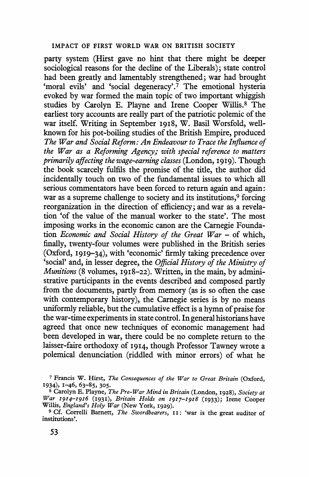**party system (Hirst gave no hint that there might be deeper sociological reasons for the decline of the Liberals); state control had been greatly and lamentably strengthened; war had brought 'moral evils' and 'social degeneracy'.7 The emotional hysteria evoked by war formed the main topic of two important whiggish studies by Carolyn E. Playne and Irene Cooper Willis.8 The earliest tory accounts are really part of the patriotic polemic of the war itself. Writing in September 1918, W. Basil Worsfold, wellknown for his pot-boiling studies of the British Empire, produced The War and Social Reform: An Endeavour to Trace the Influence of the War as a Reforming Agency; with special reference to matters primarily affecting the wage-earning classes (London, I9I9). Though the book scarcely fulfils the promise of the title, the author did incidentally touch on two of the fundamental issues to which all serious commentators have been forced to return again and again: war as a supreme challenge to society and its institutions,9 forcing reorganization in the direction of efficiency; and war as a revelation 'of the value of the manual worker to the state'. The most imposing works in the economic canon are the Carnegie Foundation Economic and Social History of the Great War - of which, finally, twenty-four volumes were published in the British series (Oxford, 1919-34), with 'economic' firmly taking precedence over 'social' and, in lesser degree, the Official History of the Ministry of Munitions (8 volumes, I918-22). Written, in the main, by administrative participants in the events described and composed partly from the documents, partly from memory (as is so often the case with contemporary history), the Carnegie series is by no means uniformly reliable, but the cumulative effect is a hymn of praise for the war-time experiments in state control. In general historians have agreed that once new techniques of economic management had been developed in war, there could be no complete return to the laisser-faire orthodoxy of 1914, though Professor Tawney wrote a polemical denunciation (riddled with minor errors) of what he** 

**<sup>7</sup>Francis W. Hirst, The Consequences of the War to Great Britain (Oxford, I934), I-46, 63-85, 305.** 

**<sup>8</sup>Carolyn E. Playne, The Pre-War Mind in Britain (London, 1928), Society at War 1914-I916 (I931), Britain Holds on 1917-1918 (I933); Irene Cooper** 

<sup>&</sup>lt;sup>9</sup> Cf. Correlli Barnett, *The Swordbearers*, **11:** 'war is the great auditor of **institutions'.**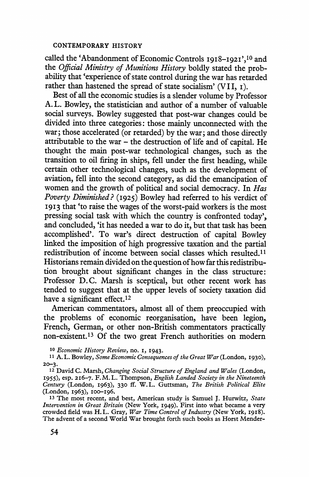**called the 'Abandonment of Economic Controls I9I8-I92I',10 and the Official Ministry of Munitions History boldly stated the probability that 'experience of state control during the war has retarded rather than hastened the spread of state socialism' (VII, i).** 

**Best of all the economic studies is a slender volume by Professor A. L. Bowley, the statistician and author of a number of valuable social surveys. Bowley suggested that post-war changes could be divided into three categories: those mainly unconnected with the war; those accelerated (or retarded) by the war; and those directly attributable to the war - the destruction of life and of capital. He thought the main post-war technological changes, such as the transition to oil firing in ships, fell under the first heading, while certain other technological changes, such as the development of aviation, fell into the second category, as did the emancipation of women and the growth of political and social democracy. In Has Poverty Diminished? (1925) Bowley had referred to his verdict of 1913 that 'to raise the wages of the worst-paid workers is the most pressing social task with which the country is confronted today', and concluded, 'it has needed a war to do it, but that task has been accomplished'. To war's direct destruction of capital Bowley linked the imposition of high progressive taxation and the partial redistribution of income between social classes which resulted.ll Historians remain divided on the question of how far this redistribution brought about significant changes in the class structure: Professor D.C. Marsh is sceptical, but other recent work has tended to suggest that at the upper levels of society taxation did have a significant effect.12** 

**American commentators, almost all of them preoccupied with the problems of economic reorganisation, have been legion, French, German, or other non-British commentators practically non-existent.13 Of the two great French authorities on modern** 

**10 Economic History Review, no. I, I943.** 

**<sup>12</sup>David C. Marsh, Changing Social Structure of England and Wales (London, I955), esp. 216-7. F.M.L. Thompson, English Landed Society in the Nineteenth Century (London, I963), 330 ff. W.L. Guttsman, The British Political Elite (London, 1963), IO0-196.** 

**<sup>13</sup>The most recent, and best, American study is Samuel J. Hurwitz, State Intervention in Great Britain (New York, 1949). First into what became a very crowded field was H. L. Gray, War Time Control of Industry (New York, 1918). The advent of a second World War brought forth such books as Horst Mender-**

**<sup>11</sup> A. L. Bowley, Some Economic Consequences of the Great War (London, 1930), 20-3.**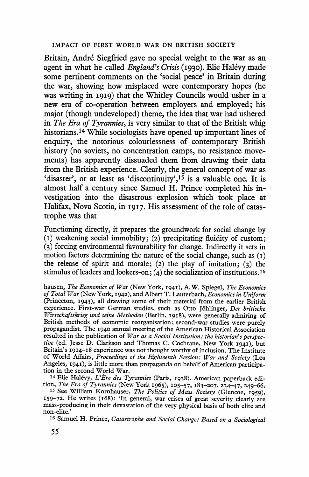**Britain, Andre Siegfried gave no special weight to the war as an agent in what he called England's Crisis (I930). Elie Halevy made some pertinent comments on the 'social peace' in Britain during the war, showing how misplaced were contemporary hopes (he was writing in I9I9) that the Whitley Councils would usher in a new era of co-operation between employers and employed; his major (though undeveloped) theme, the idea that war had ushered in The Era of Tyrannies, is very similar to that of the British whig historians.14 While sociologists have opened up important lines of enquiry, the notorious colourlessness of contemporary British history (no soviets, no concentration camps, no resistance movements) has apparently dissuaded them from drawing their data from the British experience. Clearly, the general concept of war as 'disaster', or at least as 'discontinuity',15 is a valuable one. It is almost half a century since Samuel H. Prince completed his investigation into the disastrous explosion which took place at Halifax, Nova Scotia, in I9I7. His assessment of the role of catastrophe was that** 

**Functioning directly, it prepares the groundwork for social change by (i) weakening social immobility; (2) precipitating fluidity of custom; (3) forcing environmental favourability for change. Indirectly it sets in motion factors determining the nature of the social change, such as (I) the release of spirit and morale; (2) the play of imitation; (3) the**  stimulus of leaders and lookers-on; (4) the socialization of institutions.<sup>16</sup>

**hausen, The Economics of War (New York, I941), A.W. Spiegel, The Economics of Total War (New York, I942), and Albert T. Lauterbach, Economics in Uniform (Princeton, 1943), all drawing some of their material from the earlier British experience. First-war German studies, such as Otto Johlinger, Der britische Wirtschaftskrieg und seine Methoden (Berlin, I9I8), were generally admiring of British methods of economic reorganisation; second-war studies were purely propagandist. The I940 annual meeting of the American Historical Association resulted in the publication of War as a Social Institution: the historian's perspective (ed. Jesse D. Clarkson and Thomas C. Cochrane, New York 194I), but Britain's 19I4-18 experience was not thought worthy of inclusion. The Institute of World Affairs, Proceedings of the Eighteenth Session: War and Society (Los Angeles, I94I), is little more than propaganda on behalf of American participa- tion in the second World War.** 

14 Elie Halévy, L'Ère des Tyrannies (Paris, 1938). American paperback edi**tion, The Era of Tyrannies (New York I965), 105-57, I83-207, 234-47, 249-66.** 

**<sup>15</sup>See William Korhauser, The Politics of Mass Society (Glencoe, I959), I59-72. He writes (i68): 'In general, war crises of great severity clearly are mass-producing in their devastation of the very physical basis of both elite and non-elite.'** 

**16 Samuel H. Prince, Catastrophe and Social Change: Based on a Sociological**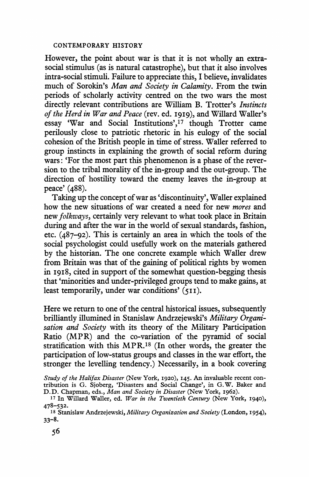**However, the point about war is that it is not wholly an extrasocial stimulus (as is natural catastrophe), but that it also involves intra-social stimuli. Failure to appreciate this, I believe, invalidates much of Sorokin's Man and Society in Calamity. From the twin periods of scholarly activity centred on the two wars the most directly relevant contributions are William B. Trotter's Instincts of the Herd in War and Peace (rev. ed. I919), and Willard Waller's essay 'War and Social Institutions',17 though Trotter came perilously close to patriotic rhetoric in his eulogy of the social cohesion of the British people in time of stress. Waller referred to group instincts in explaining the growth of social reform during wars: 'For the most part this phenomenon is a phase of the reversion to the tribal morality of the in-group and the out-group. The direction of hostility toward the enemy leaves the in-group at peace' (488).** 

**Taking up the concept of war as 'discontinuity', Waller explained how the new situations of war created a need for new mores and new folkways, certainly very relevant to what took place in Britain during and after the war in the world of sexual standards, fashion, etc. (487-92). This is certainly an area in which the tools of the social psychologist could usefully work on the materials gathered by the historian. The one concrete example which Waller drew from Britain was that of the gaining of political rights by women in I9I8, cited in support of the somewhat question-begging thesis that 'minorities and under-privileged groups tend to make gains, at least temporarily, under war conditions' (5II).** 

**Here we return to one of the central historical issues, subsequently brilliantly illumined in Stanislaw Andrzejewski's Military Organisation and Society with its theory of the Military Participation Ratio (MPR) and the co-variation of the pyramid of social stratification with this MPR.18 (In other words, the greater the participation of low-status groups and classes in the war effort, the stronger the levelling tendency.) Necessarily, in a book covering** 

**Study of the Halifax Disaster (New York, I920), I45. An invaluable recent contribution is G. Sjoberg, 'Disasters and Social Change', in G.W. Baker and D.D. Chapman, eds., Man and Society in Disaster (New York, I962).** 

**<sup>17</sup>In Willard Waller, ed. War in the Twentieth Century (New York, I940), 478-532.** 

**<sup>18</sup> Stanislaw Andrzejewski, Military Organization and Society (London, 1954), 33-8.**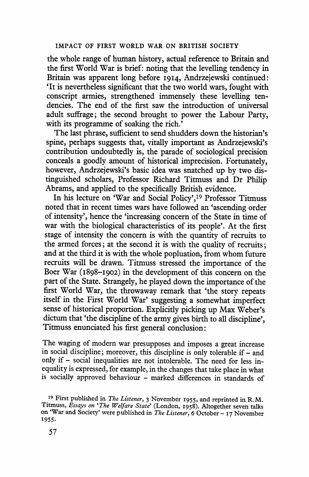**the whole range of human history, actual reference to Britain and the first World War is brief: noting that the levelling tendency in Britain was apparent long before I914, Andrzejewski continued: 'It is nevertheless significant that the two world wars, fought with conscript armies, strengthened immensely these levelling tendencies. The end of the first saw the introduction of universal adult suffrage; the second brought to power the Labour Party,**  with its programme of soaking the rich.<sup>7</sup>

**The last phrase, sufficient to send shudders down the historian's spine, perhaps suggests that, vitally important as Andrzejewski's contribution undoubtedly is, the parade of sociological precision conceals a goodly amount of historical imprecision. Fortunately, however, Andrzejewski's basic idea was snatched up by two distinguished scholars, Professor Richard Titmuss and Dr Philip Abrams, and applied to the specifically British evidence.** 

**In his lecture on 'War and Social Policy',19 Professor Titmuss noted that in recent times wars have followed an 'ascending order of intensity', hence the 'increasing concern of the State in time of war with the biological characteristics of its people'. At the first stage of intensity the concern is with the quantity of recruits to the armed forces; at the second it is with the quality of recruits; and at the third it is with the whole popluation, from whom future recruits will be drawn. Titmuss stressed the importance of the Boer War (I898-I902) in the development of this concern on the part of the State. Strangely, he played down the importance of the first World War, the throwaway remark that 'the story repeats itself in the First World War' suggesting a somewhat imperfect sense of historical proportion. Explicitly picking up Max Weber's dictum that 'the discipline of the army gives birth to all discipline', Titmuss enunciated his first general conclusion:** 

**The waging of modern war presupposes and imposes a great increase in social discipline; moreover, this discipline is only tolerable if- and only if - social inequalities are not intolerable. The need for less inequality is expressed, for example, in the changes that take place in what is socially approved behaviour - marked differences in standards of** 

**<sup>19</sup> First published in The Listener, 3 November I955, and reprinted in R.M. Titmuss, Essays on 'The Welfare State' (London, 1958). Altogether seven talks on 'War and Society' were published in The Listener, 6 October - 17 November 1955.**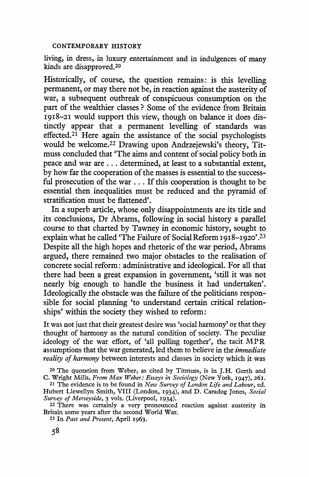**living, in dress, in luxury entertainment and in indulgences of many kinds are disapproved.20** 

**Historically, of course, the question remains: is this levelling permanent, or may there not be, in reaction against the austerity of war, a subsequent outbreak of conspicuous consumption on the part of the wealthier classes ? Some of the evidence from Britain I918-2I would support this view, though on balance it does distinctly appear that a permanent levelling of standards was effected.21 Here again the assistance of the social psychologists would be welcome.22 Drawing upon Andrzejewski's theory, Titmuss concluded that 'The aims and content of social policy both in peace and war are ... determined, at least to a substantial extent, by how far the cooperation of the masses is essential to the successful prosecution of the war ... If this cooperation is thought to be essential then inequalities must be reduced and the pyramid of stratification must be flattened'.** 

**In a superb article, whose only disappointments are its title and its conclusions, Dr Abrams, following in social history a parallel course to that charted by Tawney in economic history, sought to explain what he called 'The Failure of Social Reform IgI8-I920'.23 Despite all the high hopes and rhetoric of the war period, Abrams argued, there remained two major obstacles to the realisation of concrete social reform: administrative and ideological. For all that there had been a great expansion in government, 'still it was not nearly big enough to handle the business it had undertaken'. Ideologically the obstacle was the failure of the politicians responsible for social planning 'to understand certain critical relationships' within the society they wished to reform:** 

**It was not just that their greatest desire was 'social harmony' or that they thought of harmony as the natural condition of society. The peculiar ideology of the war effort, of 'all pulling together', the tacit MPR assumptions that the war generated, led them to believe in the immediate reality of harmony between interests and classes in society which it was** 

**<sup>22</sup>There was certainly a very pronounced reaction against austerity in Britain some years after the second World War.** 

**23 In Past and Present, April I963.** 

**<sup>20</sup> The quotation from Weber, as cited by Titmuss, is in J.H. Gerth and C. Wright Mills, From Max Weber: Essays in Sociology (New York, I947), 26I.** 

**<sup>21</sup>The evidence is to be found in New Survey of London Life and Labour, ed. Hubert Llewellyn Smith, VIII (London, I934), and D. Caradog Jones, Social Survey of Merseyside, 3 vols. (Liverpool, I934).**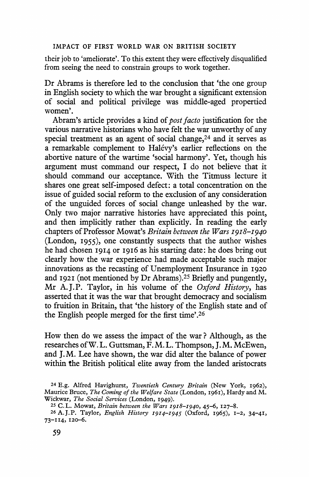**their job to 'ameliorate'. To this extent they were effectively disqualified from seeing the need to constrain groups to work together.** 

**Dr Abrams is therefore led to the conclusion that 'the one group in English society to which the war brought a significant extension of social and political privilege was middle-aged propertied women'.** 

**Abram's article provides a kind of post facto justification for the various narrative historians who have felt the war unworthy of any special treatment as an agent of social change,24 and it serves as a remarkable complement to Halevy's earlier reflections on the abortive nature of the wartime 'social harmony'. Yet, though his argument must command our respect, I do not believe that it should command our acceptance. With the Titmuss lecture it shares one great self-imposed defect: a total concentration on the issue of guided social reform to the exclusion of any consideration of the unguided forces of social change unleashed by the war. Only two major narrative histories have appreciated this point, and then implicitly rather than explicitly. In reading the early chapters of Professor Mowat's Britain between the Wars I9I8-I940 (London, I955), one constantly suspects that the author wishes he had chosen I9I4 or I916 as his starting date: he does bring out clearly how the war experience had made acceptable such major innovations as the recasting of Unemployment Insurance in <sup>1920</sup> and 1921 (not mentioned by Dr Abrams).25 Briefly and pungently, Mr A.J.P. Taylor, in his volume of the Oxford History, has asserted that it was the war that brought democracy and socialism to fruition in Britain, that 'the history of the English state and of the English people merged for the first time'.26** 

**How then do we assess the impact of the war ? Although, as the researches ofW. L. Guttsman, F. M. L. Thompson, J. M. McEwen, and J. M. Lee have shown, the war did alter the balance of power within the British political elite away from the landed aristocrats** 

**<sup>24</sup>E.g. Alfred Havighurst, Twentieth Century Britain (New York, I962), Maurice Bruce, The Coming of the Welfare State (London, I96I), Hardy and M. Wickwar, The Social Services (London, I949).** 

**<sup>25</sup>C.L. Mowat, Britain between the Wars 1918-1940, 45-6, I27-8.** 

**<sup>26</sup>A.J.P. Taylor, English History 1914-1945 (Oxford, I965), 1-2, 34-4I, 73-II4, 120-6.**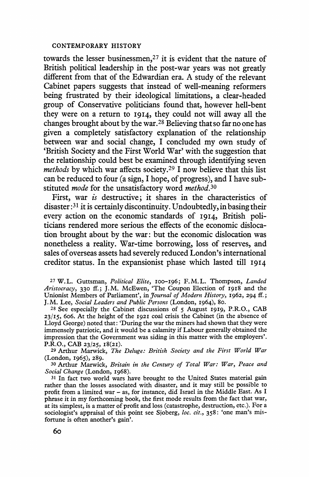**towards the lesser businessmen,27 it is evident that the nature of British political leadership in the post-war years was not greatly different from that of the Edwardian era. A study of the relevant Cabinet papers suggests that instead of well-meaning reformers being frustrated by their ideological limitations, a clear-headed group of Conservative politicians found that, however hell-bent they were on a return to I914, they could not will away all the changes brought about by the war.28 Believing that so far no one has given a completely satisfactory explanation of the relationship between war and social change, I concluded my own study of 'British Society and the First World War' with the suggestion that the relationship could best be examined through identifying seven methods by which war affects society.29 I now believe that this list can be reduced to four (a sign, I hope, of progress), and I have substituted mode for the unsatisfactory word method.30** 

**First, war is destructive; it shares in the characteristics of disaster:31 it is certainly discontinuity. Undoubtedly, in basing their every action on the economic standards of 1914, British politicians rendered more serious the effects of the economic dislocation brought about by the war: but the economic dislocation was nonetheless a reality. War-time borrowing, loss of reserves, and sales of overseas assets had severely reduced London's international creditor status. In the expansionist phase which lasted till 1914** 

**<sup>27</sup>W.L. Guttsman, Political Elite, Ioo-I96; F.M.L. Thompson, Landed Aristocracy, 330 ff.; J.M. McEwen, 'The Coupon Election of I918 and the**  Unionist Members of Parliament', in *Journal of Modern History*, 1962, 294 ff.; **J.M. Lee, Social Leaders and Public Persons (London, 1964), 8o.** 

**28 See especially the Cabinet discussions of 5 August 1919, P.R.O., CAB 23/I5, 606. At the height of the 1921 coal crisis the Cabinet (in the absence of Lloyd George) noted that: 'During the war the miners had shown that they were immensely patriotic, and it would be a calamity if Labour generally obtained the impression that the Government was siding in this matter with the employers'. P.R.O., CAB 23/25, I8(2I).** 

**29 Arthur Marwick, The Deluge: British Society and the First World War (London, 1965), 289.** 

**<sup>30</sup>Arthur Marwick, Britain in the Century of Total War: War, Peace and Social Change (London, I968).** 

**<sup>31</sup>In fact two world wars have brought to the United States material gain rather than the losses associated with disaster, and it may still be possible to profit from a limited war - as, for instance, did Israel in the Middle East. As I phrase it in my forthcoming book, the first mode results from the fact that war, at its simplest, is a matter of profit and loss (catastrophe, destruction, etc.). For a sociologist's appraisal of this point see Sjoberg, loc. cit., 358: 'one man's misfortune is often another's gain'.**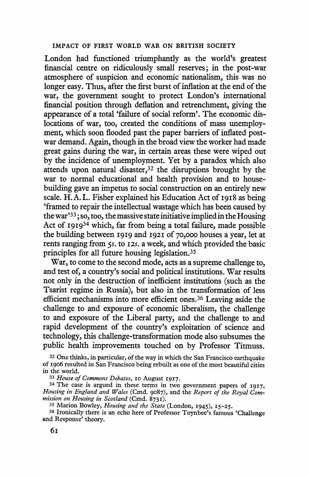**London had functioned triumphantly as the world's greatest financial centre on ridiculously small reserves; in the post-war atmosphere of suspicion and economic nationalism, this was no longer easy. Thus, after the first burst of inflation at the end of the war, the government sought to protect London's international financial position through deflation and retrenchment, giving the appearance of a total 'failure of social reform'. The economic dislocations of war, too, created the conditions of mass unemployment, which soon flooded past the paper barriers of inflated postwar demand. Again, though in the broad view the worker had made great gains during the war, in certain areas these were wiped out by the incidence of unemployment. Yet by a paradox which also attends upon natural disaster,32 the disruptions brought by the war to normal educational and health provision and to housebuilding gave an impetus to social construction on an entirely new scale. H.A.L. Fisher explained his Education Act of I9I8 as being 'framed to repair the intellectual wastage which has been caused by the war'33; so, too, the massive state initiative implied in the Housing Act of I9I934 which, far from being a total failure, made possible the building between I919 and I92I of 70,000 houses a year, let at rents ranging from 5s. to I2s. a week, and which provided the basic principles for all future housing legislation.35** 

**War, to come to the second mode, acts as a supreme challenge to, and test of, a country's social and political institutions. War results not only in the destruction of inefficient institutions (such as the Tsarist regime in Russia), but also in the transformation of less efficient mechanisms into more efficient ones.36 Leaving aside the challenge to and exposure of economic liberalism, the challenge to and exposure of the Liberal party, and the challenge to and rapid development of the country's exploitation of science and technology, this challenge-transformation mode also subsumes the public health improvements touched on by Professor Titmuss.** 

**33 House of Commons Debates, o0 August I917.** 

**<sup>34</sup>The case is argued in these terms in two government papers of I917, Housing in England and Wales (Cmd. 9087), and the Report of the Royal Com**mission on Housing in Scotland (Cmd. 8731).<br><sup>35</sup> Marion Bowley, *Housing and the State* (London, 1945), 15-25.

<sup>36</sup> Ironically there is an echo here of Professor Toynbee's famous 'Challenge and Response' theory.

**<sup>32</sup>One thinks, in particular, of the way in which the San Francisco earthquake of I906 resulted in San Francisco being rebuilt as one of the most beautiful cities in the world.**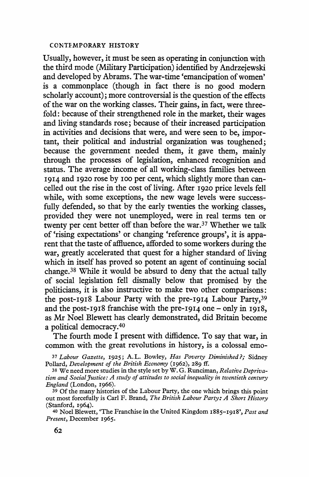**Usually, however, it must be seen as operating in conjunction with the third mode (Military Participation) identified by Andrzejewski and developed by Abrams. The war-time 'emancipation of women' is a commonplace (though in fact there is no good modern scholarly account); more controversial is the question of the effects of the war on the working classes. Their gains, in fact, were threefold: because of their strengthened role in the market, their wages and living standards rose; because of their increased participation in activities and decisions that were, and were seen to be, important, their political and industrial organization was toughened; because the government needed them, it gave them, mainly through the processes of legislation, enhanced recognition and status. The average income of all working-class families between**  1914 and 1920 rose by 100 per cent, which slightly more than can**celled out the rise in the cost of living. After I920 price levels fell while, with some exceptions, the new wage levels were successfully defended, so that by the early twenties the working classes, provided they were not unemployed, were in real terms ten or twenty per cent better off than before the war.37 Whether we talk of 'rising expectations' or changing 'reference groups', it is apparent that the taste of affluence, afforded to some workers during the war, greatly accelerated that quest for a higher standard of living**  which in itself has proved so potent an agent of continuing social **change.38 While it would be absurd to deny that the actual tally of social legislation fell dismally below that promised by the politicians, it is also instructive to make two other comparisons: the post-I918 Labour Party with the pre-I914 Labour Party,39 and the post-I918 franchise with the pre-I9I4 one - only in 1918, as Mr Noel Blewett has clearly demonstrated, did Britain become a political democracy.40** 

**The fourth mode I present with diffidence. To say that war, in common with the great revolutions in history, is a colossal emo-**

**<sup>37</sup>Labour Gazette, 1925; A.L. Bowley, Has Poverty Diminished?; Sidney Pollard, Development of the British Economy (1962), 289 ff.** 

**38 We need more studies in the style set by W. G. Runciman, Relative Deprivation and Social Justice: A study of attitudes to social inequality in twentieth century England (London, I966).** 

**39 Of the many histories of the Labour Party, the one which brings this point out most forcefully is Carl F. Brand, The British Labour Party: A Short History (Stanford, I964).** 

**<sup>40</sup>Noel Blewett, 'The Franchise in the United Kingdom I885-1918', Past and Present, December 1965.**